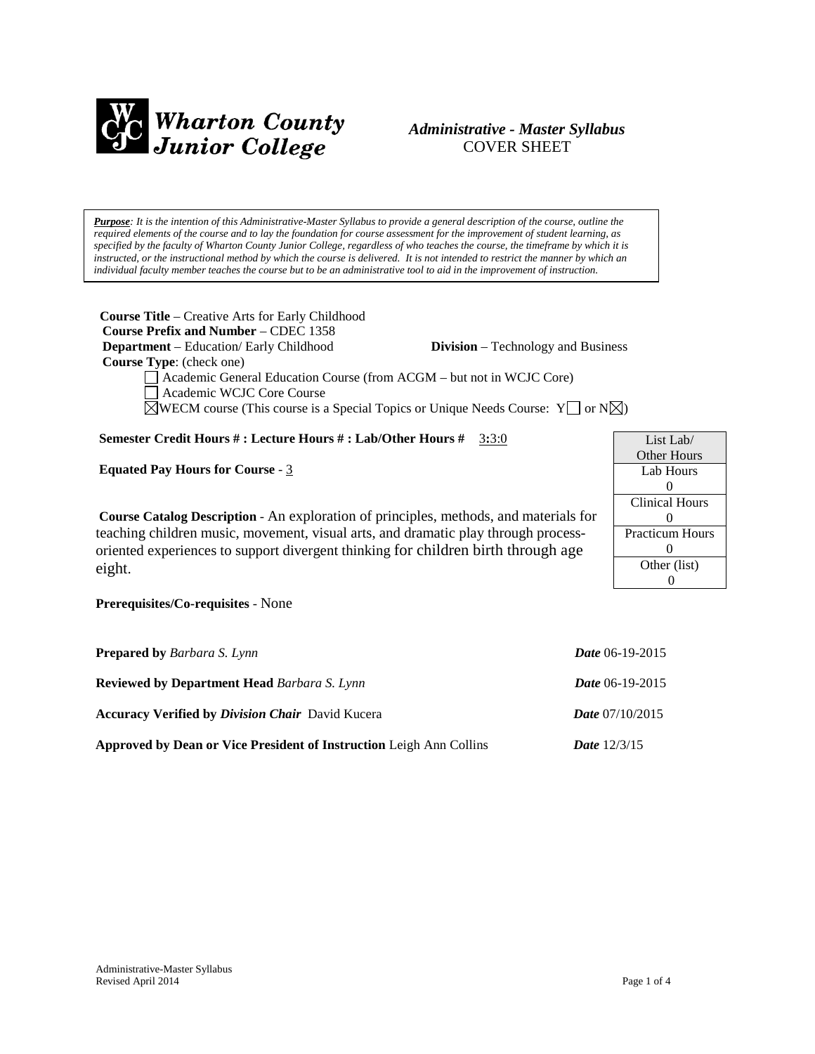

## *Administrative - Master Syllabus*  COVER SHEET

*Purpose: It is the intention of this Administrative-Master Syllabus to provide a general description of the course, outline the required elements of the course and to lay the foundation for course assessment for the improvement of student learning, as specified by the faculty of Wharton County Junior College, regardless of who teaches the course, the timeframe by which it is instructed, or the instructional method by which the course is delivered. It is not intended to restrict the manner by which an individual faculty member teaches the course but to be an administrative tool to aid in the improvement of instruction.*

**Course Title** – Creative Arts for Early Childhood  **Course Prefix and Number** – CDEC 1358  **Department** – Education/ Early Childhood **Division** – Technology and Business  **Course Type**: (check one) Academic General Education Course (from ACGM – but not in WCJC Core) Academic WCJC Core Course

 $\boxtimes$ WECM course (This course is a Special Topics or Unique Needs Course: Y  $\Box$  or N $\boxtimes$ )

#### **Semester Credit Hours # : Lecture Hours # : Lab/Other Hours #** 3**:**3:0

**Equated Pay Hours for Course** - 3

**Course Catalog Description** - An exploration of principles, methods, and materials for teaching children music, movement, visual arts, and dramatic play through processoriented experiences to support divergent thinking for children birth through age eight.

**Prerequisites/Co-requisites** - None

| <b>Prepared by Barbara S. Lynn</b>                                  | <b>Date</b> 06-19-2015   |
|---------------------------------------------------------------------|--------------------------|
| <b>Reviewed by Department Head Barbara S. Lynn</b>                  | <i>Date</i> 06-19-2015   |
| <b>Accuracy Verified by Division Chair</b> David Kucera             | <b>Date</b> $07/10/2015$ |
| Approved by Dean or Vice President of Instruction Leigh Ann Collins | <b>Date</b> $12/3/15$    |

| List Lab/              |  |
|------------------------|--|
| Other Hours            |  |
| Lab Hours              |  |
| $\mathbf{0}$           |  |
| <b>Clinical Hours</b>  |  |
| $\mathbf{0}$           |  |
| <b>Practicum Hours</b> |  |
| 0                      |  |
| Other (list)           |  |
|                        |  |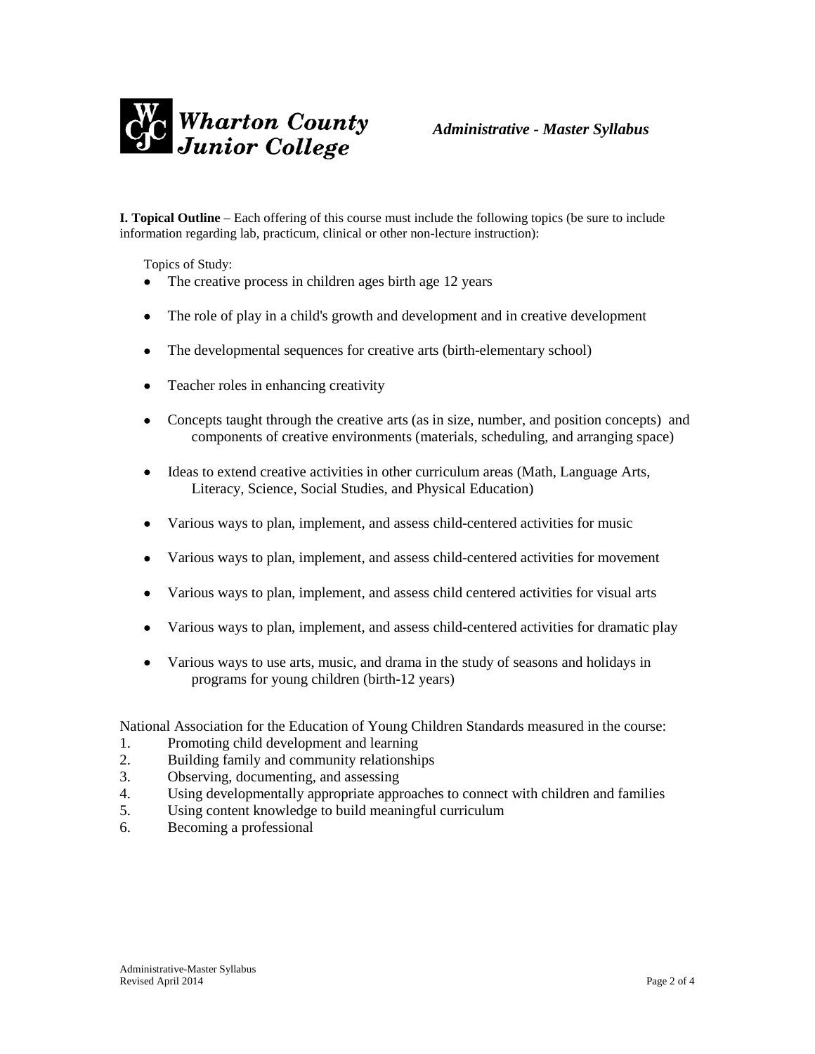

**I. Topical Outline** – Each offering of this course must include the following topics (be sure to include information regarding lab, practicum, clinical or other non-lecture instruction):

Topics of Study:

- The creative process in children ages birth age 12 years
- The role of play in a child's growth and development and in creative development
- The developmental sequences for creative arts (birth-elementary school)
- Teacher roles in enhancing creativity
- Concepts taught through the creative arts (as in size, number, and position concepts) and components of creative environments (materials, scheduling, and arranging space)
- Ideas to extend creative activities in other curriculum areas (Math, Language Arts, Literacy, Science, Social Studies, and Physical Education)
- Various ways to plan, implement, and assess child-centered activities for music
- Various ways to plan, implement, and assess child-centered activities for movement
- Various ways to plan, implement, and assess child centered activities for visual arts
- Various ways to plan, implement, and assess child-centered activities for dramatic play
- Various ways to use arts, music, and drama in the study of seasons and holidays in programs for young children (birth-12 years)

National Association for the Education of Young Children Standards measured in the course:

- 1. Promoting child development and learning
- 2. Building family and community relationships
- 3. Observing, documenting, and assessing
- 4. Using developmentally appropriate approaches to connect with children and families
- 5. Using content knowledge to build meaningful curriculum
- 6. Becoming a professional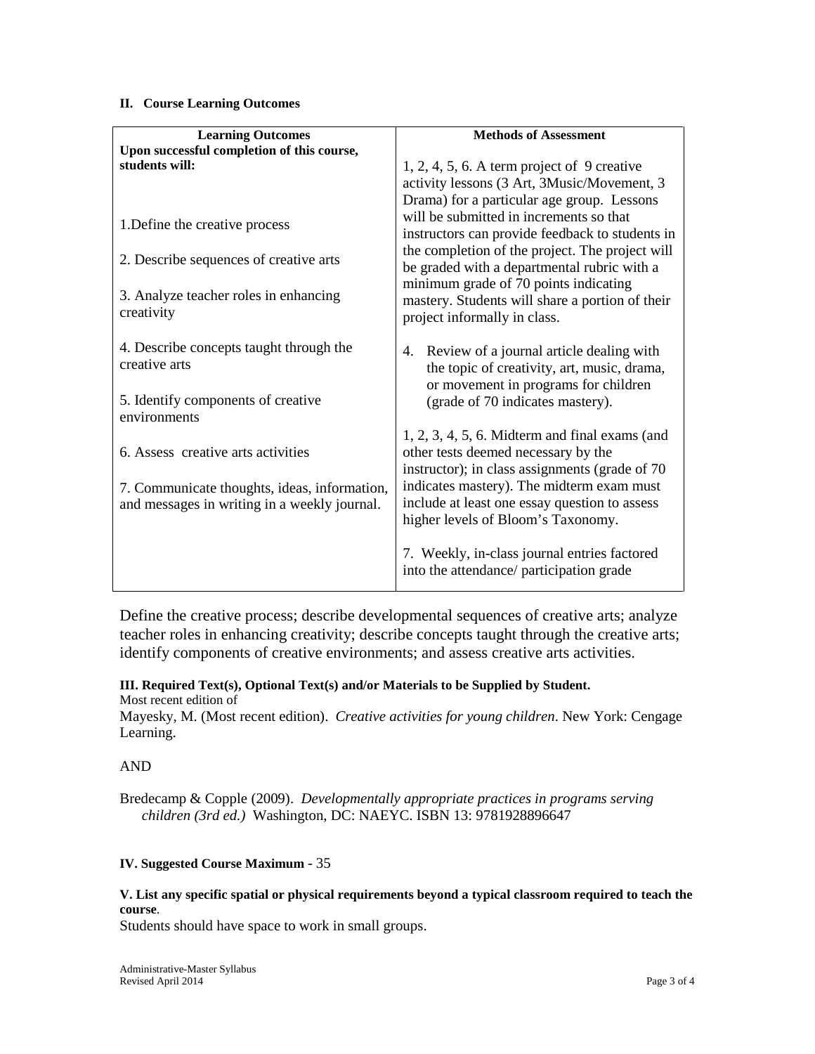#### **II. Course Learning Outcomes**

| <b>Learning Outcomes</b>                     | <b>Methods of Assessment</b>                      |
|----------------------------------------------|---------------------------------------------------|
| Upon successful completion of this course,   |                                                   |
| students will:                               | $1, 2, 4, 5, 6$ . A term project of 9 creative    |
|                                              | activity lessons (3 Art, 3Music/Movement, 3       |
|                                              | Drama) for a particular age group. Lessons        |
|                                              | will be submitted in increments so that           |
| 1. Define the creative process               |                                                   |
|                                              | instructors can provide feedback to students in   |
| 2. Describe sequences of creative arts       | the completion of the project. The project will   |
|                                              | be graded with a departmental rubric with a       |
|                                              | minimum grade of 70 points indicating             |
| 3. Analyze teacher roles in enhancing        | mastery. Students will share a portion of their   |
| creativity                                   | project informally in class.                      |
|                                              |                                                   |
| 4. Describe concepts taught through the      | 4. Review of a journal article dealing with       |
| creative arts                                | the topic of creativity, art, music, drama,       |
|                                              | or movement in programs for children              |
| 5. Identify components of creative           | (grade of 70 indicates mastery).                  |
| environments                                 |                                                   |
|                                              | $1, 2, 3, 4, 5, 6$ . Midterm and final exams (and |
| 6. Assess creative arts activities           | other tests deemed necessary by the               |
|                                              |                                                   |
|                                              | instructor); in class assignments (grade of 70    |
| 7. Communicate thoughts, ideas, information, | indicates mastery). The midterm exam must         |
| and messages in writing in a weekly journal. | include at least one essay question to assess     |
|                                              | higher levels of Bloom's Taxonomy.                |
|                                              |                                                   |
|                                              | 7. Weekly, in-class journal entries factored      |
|                                              | into the attendance/ participation grade          |
|                                              |                                                   |

Define the creative process; describe developmental sequences of creative arts; analyze teacher roles in enhancing creativity; describe concepts taught through the creative arts; identify components of creative environments; and assess creative arts activities.

# **III. Required Text(s), Optional Text(s) and/or Materials to be Supplied by Student.**

Most recent edition of Mayesky, M. (Most recent edition). *Creative activities for young children*. New York: Cengage Learning.

## AND

Bredecamp & Copple (2009). *Developmentally appropriate practices in programs serving children (3rd ed.)* Washington, DC: NAEYC. ISBN 13: 9781928896647

## **IV. Suggested Course Maximum** - 35

#### **V. List any specific spatial or physical requirements beyond a typical classroom required to teach the course**.

Students should have space to work in small groups.